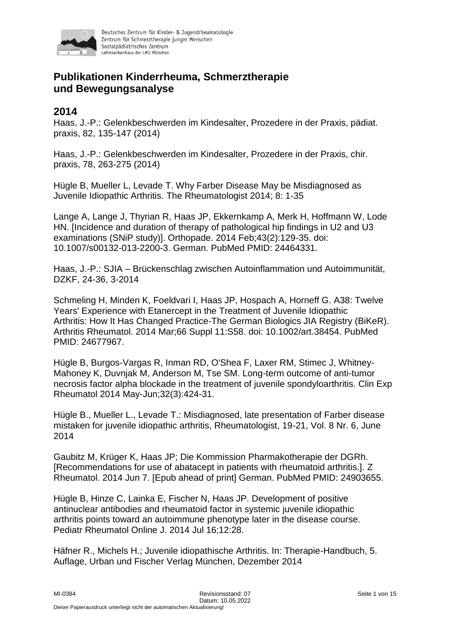

# **Publikationen Kinderrheuma, Schmerztherapie und Bewegungsanalyse**

### **2014**

Haas, J.-P.: Gelenkbeschwerden im Kindesalter, Prozedere in der Praxis, pädiat. praxis, 82, 135-147 (2014)

Haas, J.-P.: Gelenkbeschwerden im Kindesalter, Prozedere in der Praxis, chir. praxis, 78, 263-275 (2014)

Hügle B, Mueller L, Levade T. Why Farber Disease May be Misdiagnosed as Juvenile Idiopathic Arthritis. The Rheumatologist 2014; 8: 1-35

Lange A, Lange J, Thyrian R, Haas JP, Ekkernkamp A, Merk H, Hoffmann W, Lode HN. [Incidence and duration of therapy of pathological hip findings in U2 and U3 examinations (SNiP study)]. Orthopade. 2014 Feb;43(2):129-35. doi: 10.1007/s00132-013-2200-3. German. PubMed PMID: 24464331.

Haas, J.-P.: SJIA – Brückenschlag zwischen Autoinflammation und Autoimmunität, DZKF, 24-36, 3-2014

Schmeling H, Minden K, Foeldvari I, Haas JP, Hospach A, Horneff G. A38: Twelve Years' Experience with Etanercept in the Treatment of Juvenile Idiopathic Arthritis: How It Has Changed Practice-The German Biologics JIA Registry (BiKeR). Arthritis Rheumatol. 2014 Mar;66 Suppl 11:S58. doi: 10.1002/art.38454. PubMed PMID: 24677967.

Hügle B, Burgos-Vargas R, Inman RD, O'Shea F, Laxer RM, Stimec J, Whitney-Mahoney K, Duvnjak M, Anderson M, Tse SM. Long-term outcome of anti-tumor necrosis factor alpha blockade in the treatment of juvenile spondyloarthritis. Clin Exp Rheumatol 2014 May-Jun;32(3):424-31.

Hügle B., Mueller L., Levade T.: Misdiagnosed, late presentation of Farber disease mistaken for juvenile idiopathic arthritis, Rheumatologist, 19-21, Vol. 8 Nr. 6, June 2014

Gaubitz M, Krüger K, Haas JP; Die Kommission Pharmakotherapie der DGRh. [Recommendations for use of abatacept in patients with rheumatoid arthritis.]. Z Rheumatol. 2014 Jun 7. [Epub ahead of print] German. PubMed PMID: 24903655.

Hügle B, Hinze C, Lainka E, Fischer N, Haas JP. Development of positive antinuclear antibodies and rheumatoid factor in systemic juvenile idiopathic arthritis points toward an autoimmune phenotype later in the disease course. Pediatr Rheumatol Online J. 2014 Jul 16;12:28.

Häfner R., Michels H.; Juvenile idiopathische Arthritis. In: Therapie-Handbuch, 5. Auflage, Urban und Fischer Verlag München, Dezember 2014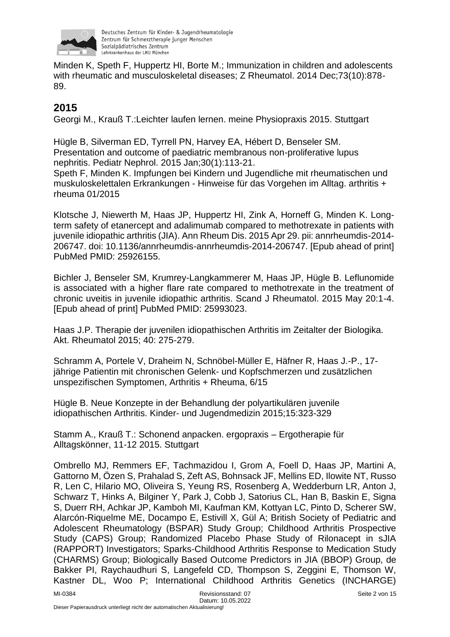

Minden K, Speth F, Huppertz HI, Borte M.; Immunization in children and adolescents with rheumatic and musculoskeletal diseases; Z Rheumatol. 2014 Dec;73(10):878- 89.

# **2015**

Georgi M., Krauß T.:Leichter laufen lernen. meine Physiopraxis 2015. Stuttgart

Hügle B, Silverman ED, Tyrrell PN, Harvey EA, Hébert D, Benseler SM. Presentation and outcome of paediatric membranous non-proliferative lupus nephritis. Pediatr Nephrol. 2015 Jan;30(1):113-21.

Speth F, Minden K. Impfungen bei Kindern und Jugendliche mit rheumatischen und muskuloskelettalen Erkrankungen - Hinweise für das Vorgehen im Alltag. arthritis + rheuma 01/2015

Klotsche J, Niewerth M, Haas JP, Huppertz HI, Zink A, Horneff G, Minden K. Longterm safety of etanercept and adalimumab compared to methotrexate in patients with juvenile idiopathic arthritis (JIA). Ann Rheum Dis. 2015 Apr 29. pii: annrheumdis-2014- 206747. doi: 10.1136/annrheumdis-annrheumdis-2014-206747. [Epub ahead of print] PubMed PMID: 25926155.

Bichler J, Benseler SM, Krumrey-Langkammerer M, Haas JP, Hügle B. Leflunomide is associated with a higher flare rate compared to methotrexate in the treatment of chronic uveitis in juvenile idiopathic arthritis. Scand J Rheumatol. 2015 May 20:1-4. [Epub ahead of print] PubMed PMID: 25993023.

Haas J.P. Therapie der juvenilen idiopathischen Arthritis im Zeitalter der Biologika. Akt. Rheumatol 2015; 40: 275-279.

Schramm A, Portele V, Draheim N, Schnöbel-Müller E, Häfner R, Haas J.-P., 17 jährige Patientin mit chronischen Gelenk- und Kopfschmerzen und zusätzlichen unspezifischen Symptomen, Arthritis + Rheuma, 6/15

Hügle B. Neue Konzepte in der Behandlung der polyartikulären juvenile idiopathischen Arthritis. Kinder- und Jugendmedizin 2015;15:323-329

Stamm A., Krauß T.: Schonend anpacken. ergopraxis – Ergotherapie für Alltagskönner, 11-12 2015. Stuttgart

Ombrello MJ, Remmers EF, Tachmazidou I, Grom A, Foell D, Haas JP, Martini A, Gattorno M, Özen S, Prahalad S, Zeft AS, Bohnsack JF, Mellins ED, Ilowite NT, Russo R, Len C, Hilario MO, Oliveira S, Yeung RS, Rosenberg A, Wedderburn LR, Anton J, Schwarz T, Hinks A, Bilginer Y, Park J, Cobb J, Satorius CL, Han B, Baskin E, Signa S, Duerr RH, Achkar JP, Kamboh MI, Kaufman KM, Kottyan LC, Pinto D, Scherer SW, Alarcón-Riquelme ME, Docampo E, Estivill X, Gül A; British Society of Pediatric and Adolescent Rheumatology (BSPAR) Study Group; Childhood Arthritis Prospective Study (CAPS) Group; Randomized Placebo Phase Study of Rilonacept in sJIA (RAPPORT) Investigators; Sparks-Childhood Arthritis Response to Medication Study (CHARMS) Group; Biologically Based Outcome Predictors in JIA (BBOP) Group, de Bakker PI, Raychaudhuri S, Langefeld CD, Thompson S, Zeggini E, Thomson W, Kastner DL, Woo P; International Childhood Arthritis Genetics (INCHARGE)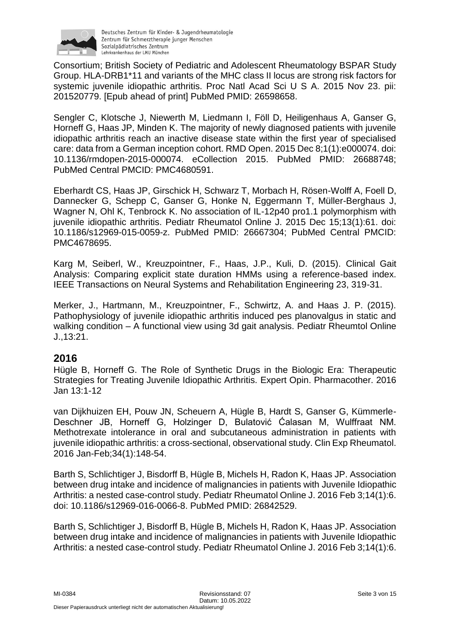

Consortium; British Society of Pediatric and Adolescent Rheumatology BSPAR Study Group. HLA-DRB1\*11 and variants of the MHC class II locus are strong risk factors for systemic juvenile idiopathic arthritis. Proc Natl Acad Sci U S A. 2015 Nov 23. pii: 201520779. [Epub ahead of print] PubMed PMID: 26598658.

Sengler C, Klotsche J, Niewerth M, Liedmann I, Föll D, Heiligenhaus A, Ganser G, Horneff G, Haas JP, Minden K. The majority of newly diagnosed patients with juvenile idiopathic arthritis reach an inactive disease state within the first year of specialised care: data from a German inception cohort. RMD Open. 2015 Dec 8;1(1):e000074. doi: 10.1136/rmdopen-2015-000074. eCollection 2015. PubMed PMID: 26688748; PubMed Central PMCID: PMC4680591.

Eberhardt CS, Haas JP, Girschick H, Schwarz T, Morbach H, Rösen-Wolff A, Foell D, Dannecker G, Schepp C, Ganser G, Honke N, Eggermann T, Müller-Berghaus J, Wagner N, Ohl K, Tenbrock K. No association of IL-12p40 pro1.1 polymorphism with juvenile idiopathic arthritis. Pediatr Rheumatol Online J. 2015 Dec 15;13(1):61. doi: 10.1186/s12969-015-0059-z. PubMed PMID: 26667304; PubMed Central PMCID: PMC4678695.

Karg M, Seiberl, W., Kreuzpointner, F., Haas, J.P., Kuli, D. (2015). Clinical Gait Analysis: Comparing explicit state duration HMMs using a reference-based index. IEEE Transactions on Neural Systems and Rehabilitation Engineering 23, 319-31.

Merker, J., Hartmann, M., Kreuzpointner, F., Schwirtz, A. and Haas J. P. (2015). Pathophysiology of juvenile idiopathic arthritis induced pes planovalgus in static and walking condition – A functional view using 3d gait analysis. Pediatr Rheumtol Online J.,13:21.

#### **2016**

Hügle B, Horneff G. The Role of Synthetic Drugs in the Biologic Era: Therapeutic Strategies for Treating Juvenile Idiopathic Arthritis. Expert Opin. Pharmacother. 2016 Jan 13:1-12

van Dijkhuizen EH, Pouw JN, Scheuern A, Hügle B, Hardt S, Ganser G, Kümmerle-Deschner JB, Horneff G, Holzinger D, Bulatović Ćalasan M, Wulffraat NM. Methotrexate intolerance in oral and subcutaneous administration in patients with juvenile idiopathic arthritis: a cross-sectional, observational study. Clin Exp Rheumatol. 2016 Jan-Feb;34(1):148-54.

Barth S, Schlichtiger J, Bisdorff B, Hügle B, Michels H, Radon K, Haas JP. Association between drug intake and incidence of malignancies in patients with Juvenile Idiopathic Arthritis: a nested case-control study. Pediatr Rheumatol Online J. 2016 Feb 3;14(1):6. doi: 10.1186/s12969-016-0066-8. PubMed PMID: 26842529.

Barth S, Schlichtiger J, Bisdorff B, Hügle B, Michels H, Radon K, Haas JP. Association between drug intake and incidence of malignancies in patients with Juvenile Idiopathic Arthritis: a nested case-control study. Pediatr Rheumatol Online J. 2016 Feb 3;14(1):6.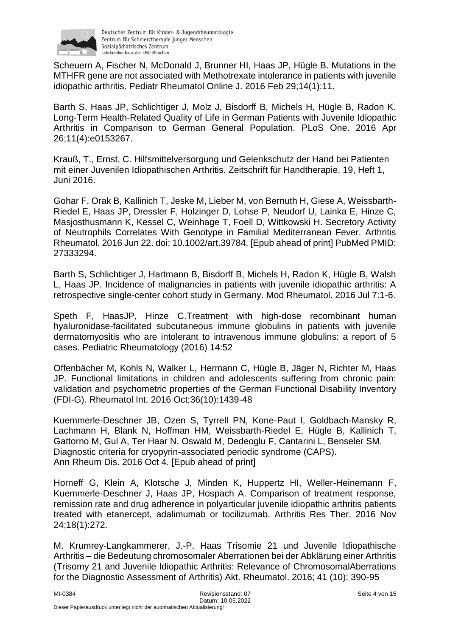

Scheuern A, Fischer N, McDonald J, Brunner HI, Haas JP, Hügle B. Mutations in the MTHFR gene are not associated with Methotrexate intolerance in patients with juvenile idiopathic arthritis. Pediatr Rheumatol Online J. 2016 Feb 29;14(1):11.

Barth S, Haas JP, Schlichtiger J, Molz J, Bisdorff B, Michels H, Hügle B, Radon K. Long-Term Health-Related Quality of Life in German Patients with Juvenile Idiopathic Arthritis in Comparison to German General Population. PLoS One. 2016 Apr 26;11(4):e0153267.

Krauß, T., Ernst, C. Hilfsmittelversorgung und Gelenkschutz der Hand bei Patienten mit einer Juvenilen Idiopathischen Arthritis. Zeitschrift für Handtherapie, 19, Heft 1, Juni 2016.

Gohar F, Orak B, Kallinich T, Jeske M, Lieber M, von Bernuth H, Giese A, Weissbarth-Riedel E, Haas JP, Dressler F, Holzinger D, Lohse P, Neudorf U, Lainka E, Hinze C, Masjosthusmann K, Kessel C, Weinhage T, Foell D, Wittkowski H. Secretory Activity of Neutrophils Correlates With Genotype in Familial Mediterranean Fever. Arthritis Rheumatol. 2016 Jun 22. doi: 10.1002/art.39784. [Epub ahead of print] PubMed PMID: 27333294.

Barth S, Schlichtiger J, Hartmann B, Bisdorff B, Michels H, Radon K, Hügle B, Walsh L, Haas JP. Incidence of malignancies in patients with juvenile idiopathic arthritis: A retrospective single-center cohort study in Germany. Mod Rheumatol. 2016 Jul 7:1-6.

Speth F, HaasJP, Hinze C.Treatment with high-dose recombinant human hyaluronidase-facilitated subcutaneous immune globulins in patients with juvenile dermatomyositis who are intolerant to intravenous immune globulins: a report of 5 cases. Pediatric Rheumatology (2016) 14:52

Offenbächer M, Kohls N, Walker L, Hermann C, Hügle B, Jäger N, Richter M, Haas JP. Functional limitations in children and adolescents suffering from chronic pain: validation and psychometric properties of the German Functional Disability Inventory (FDI-G). Rheumatol Int. 2016 Oct;36(10):1439-48

Kuemmerle-Deschner JB, Ozen S, Tyrrell PN, Kone-Paut I, Goldbach-Mansky R, Lachmann H, Blank N, Hoffman HM, Weissbarth-Riedel E, Hügle B, Kallinich T, Gattorno M, Gul A, Ter Haar N, Oswald M, Dedeoglu F, Cantarini L, Benseler SM. Diagnostic criteria for cryopyrin-associated periodic syndrome (CAPS). Ann Rheum Dis. 2016 Oct 4. [Epub ahead of print]

Horneff G, Klein A, Klotsche J, Minden K, Huppertz HI, Weller-Heinemann F, Kuemmerle-Deschner J, Haas JP, Hospach A. Comparison of treatment response, remission rate and drug adherence in polyarticular juvenile idiopathic arthritis patients treated with etanercept, adalimumab or tocilizumab. Arthritis Res Ther. 2016 Nov 24;18(1):272.

M. Krumrey-Langkammerer, J.-P. Haas Trisomie 21 und Juvenile Idiopathische Arthritis – die Bedeutung chromosomaler Aberrationen bei der Abklärung einer Arthritis (Trisomy 21 and Juvenile Idiopathic Arthritis: Relevance of ChromosomalAberrations for the Diagnostic Assessment of Arthritis) Akt. Rheumatol. 2016; 41 (10): 390-95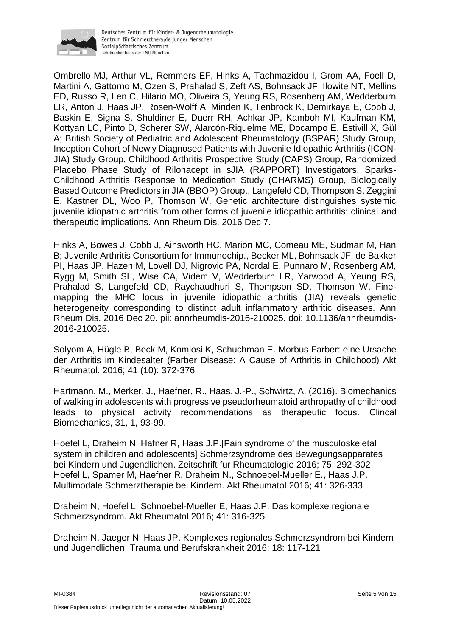

Ombrello MJ, Arthur VL, Remmers EF, Hinks A, Tachmazidou I, Grom AA, Foell D, Martini A, Gattorno M, Özen S, Prahalad S, Zeft AS, Bohnsack JF, Ilowite NT, Mellins ED, Russo R, Len C, Hilario MO, Oliveira S, Yeung RS, Rosenberg AM, Wedderburn LR, Anton J, Haas JP, Rosen-Wolff A, Minden K, Tenbrock K, Demirkaya E, Cobb J, Baskin E, Signa S, Shuldiner E, Duerr RH, Achkar JP, Kamboh MI, Kaufman KM, Kottyan LC, Pinto D, Scherer SW, Alarcón-Riquelme ME, Docampo E, Estivill X, Gül A; British Society of Pediatric and Adolescent Rheumatology (BSPAR) Study Group, Inception Cohort of Newly Diagnosed Patients with Juvenile Idiopathic Arthritis (ICON-JIA) Study Group, Childhood Arthritis Prospective Study (CAPS) Group, Randomized Placebo Phase Study of Rilonacept in sJIA (RAPPORT) Investigators, Sparks-Childhood Arthritis Response to Medication Study (CHARMS) Group, Biologically Based Outcome Predictors in JIA (BBOP) Group., Langefeld CD, Thompson S, Zeggini E, Kastner DL, Woo P, Thomson W. Genetic architecture distinguishes systemic juvenile idiopathic arthritis from other forms of juvenile idiopathic arthritis: clinical and therapeutic implications. Ann Rheum Dis. 2016 Dec 7.

Hinks A, Bowes J, Cobb J, Ainsworth HC, Marion MC, Comeau ME, Sudman M, Han B; Juvenile Arthritis Consortium for Immunochip., Becker ML, Bohnsack JF, de Bakker PI, Haas JP, Hazen M, Lovell DJ, Nigrovic PA, Nordal E, Punnaro M, Rosenberg AM, Rygg M, Smith SL, Wise CA, Videm V, Wedderburn LR, Yarwood A, Yeung RS, Prahalad S, Langefeld CD, Raychaudhuri S, Thompson SD, Thomson W. Finemapping the MHC locus in juvenile idiopathic arthritis (JIA) reveals genetic heterogeneity corresponding to distinct adult inflammatory arthritic diseases. Ann Rheum Dis. 2016 Dec 20. pii: annrheumdis-2016-210025. doi: 10.1136/annrheumdis-2016-210025.

Solyom A, Hügle B, Beck M, Komlosi K, Schuchman E. Morbus Farber: eine Ursache der Arthritis im Kindesalter (Farber Disease: A Cause of Arthritis in Childhood) Akt Rheumatol. 2016; 41 (10): 372-376

Hartmann, M., Merker, J., Haefner, R., Haas, J.-P., Schwirtz, A. (2016). Biomechanics of walking in adolescents with progressive pseudorheumatoid arthropathy of childhood leads to physical activity recommendations as therapeutic focus. Clincal Biomechanics, 31, 1, 93-99.

Hoefel L, Draheim N, Hafner R, Haas J.P.[Pain syndrome of the musculoskeletal system in children and adolescents] Schmerzsyndrome des Bewegungsapparates bei Kindern und Jugendlichen. Zeitschrift fur Rheumatologie 2016; 75: 292-302 Hoefel L, Spamer M, Haefner R, Draheim N., Schnoebel-Mueller E., Haas J.P. Multimodale Schmerztherapie bei Kindern. Akt Rheumatol 2016; 41: 326-333

Draheim N, Hoefel L, Schnoebel-Mueller E, Haas J.P. Das komplexe regionale Schmerzsyndrom. Akt Rheumatol 2016; 41: 316-325

Draheim N, Jaeger N, Haas JP. Komplexes regionales Schmerzsyndrom bei Kindern und Jugendlichen. Trauma und Berufskrankheit 2016; 18: 117-121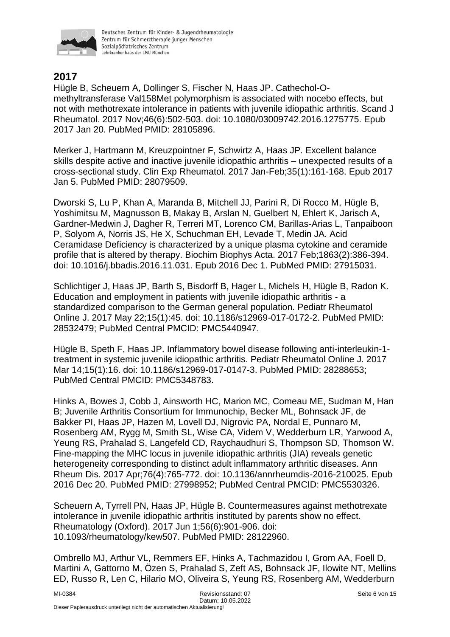

## **2017**

Hügle B, Scheuern A, Dollinger S, Fischer N, Haas JP. Cathechol-Omethyltransferase Val158Met polymorphism is associated with nocebo effects, but not with methotrexate intolerance in patients with juvenile idiopathic arthritis. Scand J Rheumatol. 2017 Nov;46(6):502-503. doi: 10.1080/03009742.2016.1275775. Epub 2017 Jan 20. PubMed PMID: 28105896.

Merker J, Hartmann M, Kreuzpointner F, Schwirtz A, Haas JP. Excellent balance skills despite active and inactive juvenile idiopathic arthritis – unexpected results of a cross-sectional study. Clin Exp Rheumatol. 2017 Jan-Feb;35(1):161-168. Epub 2017 Jan 5. PubMed PMID: 28079509.

Dworski S, Lu P, Khan A, Maranda B, Mitchell JJ, Parini R, Di Rocco M, Hügle B, Yoshimitsu M, Magnusson B, Makay B, Arslan N, Guelbert N, Ehlert K, Jarisch A, Gardner-Medwin J, Dagher R, Terreri MT, Lorenco CM, Barillas-Arias L, Tanpaiboon P, Solyom A, Norris JS, He X, Schuchman EH, Levade T, Medin JA. Acid Ceramidase Deficiency is characterized by a unique plasma cytokine and ceramide profile that is altered by therapy. Biochim Biophys Acta. 2017 Feb;1863(2):386-394. doi: 10.1016/j.bbadis.2016.11.031. Epub 2016 Dec 1. PubMed PMID: 27915031.

Schlichtiger J, Haas JP, Barth S, Bisdorff B, Hager L, Michels H, Hügle B, Radon K. Education and employment in patients with juvenile idiopathic arthritis - a standardized comparison to the German general population. Pediatr Rheumatol Online J. 2017 May 22;15(1):45. doi: 10.1186/s12969-017-0172-2. PubMed PMID: 28532479; PubMed Central PMCID: PMC5440947.

Hügle B, Speth F, Haas JP. Inflammatory bowel disease following anti-interleukin-1 treatment in systemic juvenile idiopathic arthritis. Pediatr Rheumatol Online J. 2017 Mar 14;15(1):16. doi: 10.1186/s12969-017-0147-3. PubMed PMID: 28288653; PubMed Central PMCID: PMC5348783.

Hinks A, Bowes J, Cobb J, Ainsworth HC, Marion MC, Comeau ME, Sudman M, Han B; Juvenile Arthritis Consortium for Immunochip, Becker ML, Bohnsack JF, de Bakker PI, Haas JP, Hazen M, Lovell DJ, Nigrovic PA, Nordal E, Punnaro M, Rosenberg AM, Rygg M, Smith SL, Wise CA, Videm V, Wedderburn LR, Yarwood A, Yeung RS, Prahalad S, Langefeld CD, Raychaudhuri S, Thompson SD, Thomson W. Fine-mapping the MHC locus in juvenile idiopathic arthritis (JIA) reveals genetic heterogeneity corresponding to distinct adult inflammatory arthritic diseases. Ann Rheum Dis. 2017 Apr;76(4):765-772. doi: 10.1136/annrheumdis-2016-210025. Epub 2016 Dec 20. PubMed PMID: 27998952; PubMed Central PMCID: PMC5530326.

Scheuern A, Tyrrell PN, Haas JP, Hügle B. Countermeasures against methotrexate intolerance in juvenile idiopathic arthritis instituted by parents show no effect. Rheumatology (Oxford). 2017 Jun 1;56(6):901-906. doi: 10.1093/rheumatology/kew507. PubMed PMID: 28122960.

Ombrello MJ, Arthur VL, Remmers EF, Hinks A, Tachmazidou I, Grom AA, Foell D, Martini A, Gattorno M, Özen S, Prahalad S, Zeft AS, Bohnsack JF, Ilowite NT, Mellins ED, Russo R, Len C, Hilario MO, Oliveira S, Yeung RS, Rosenberg AM, Wedderburn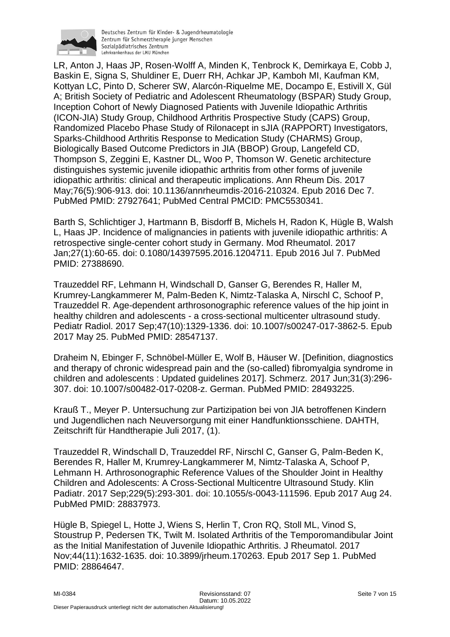

Deutsches Zentrum für Kinder- & Jugendrheumatologie Zentrum für Schmerztherapie junger Menschen Sozialpädiatrisches Zentrum Lehrkrankenhaus der LMU München

LR, Anton J, Haas JP, Rosen-Wolff A, Minden K, Tenbrock K, Demirkaya E, Cobb J, Baskin E, Signa S, Shuldiner E, Duerr RH, Achkar JP, Kamboh MI, Kaufman KM, Kottyan LC, Pinto D, Scherer SW, Alarcón-Riquelme ME, Docampo E, Estivill X, Gül A; British Society of Pediatric and Adolescent Rheumatology (BSPAR) Study Group, Inception Cohort of Newly Diagnosed Patients with Juvenile Idiopathic Arthritis (ICON-JIA) Study Group, Childhood Arthritis Prospective Study (CAPS) Group, Randomized Placebo Phase Study of Rilonacept in sJIA (RAPPORT) Investigators, Sparks-Childhood Arthritis Response to Medication Study (CHARMS) Group, Biologically Based Outcome Predictors in JIA (BBOP) Group, Langefeld CD, Thompson S, Zeggini E, Kastner DL, Woo P, Thomson W. Genetic architecture distinguishes systemic juvenile idiopathic arthritis from other forms of juvenile idiopathic arthritis: clinical and therapeutic implications. Ann Rheum Dis. 2017 May;76(5):906-913. doi: 10.1136/annrheumdis-2016-210324. Epub 2016 Dec 7. PubMed PMID: 27927641; PubMed Central PMCID: PMC5530341.

Barth S, Schlichtiger J, Hartmann B, Bisdorff B, Michels H, Radon K, Hügle B, Walsh L, Haas JP. Incidence of malignancies in patients with juvenile idiopathic arthritis: A retrospective single-center cohort study in Germany. Mod Rheumatol. 2017 Jan;27(1):60-65. doi: 0.1080/14397595.2016.1204711. Epub 2016 Jul 7. PubMed PMID: 27388690.

Trauzeddel RF, Lehmann H, Windschall D, Ganser G, Berendes R, Haller M, Krumrey-Langkammerer M, Palm-Beden K, Nimtz-Talaska A, Nirschl C, Schoof P, Trauzeddel R. Age-dependent arthrosonographic reference values of the hip joint in healthy children and adolescents - a cross-sectional multicenter ultrasound study. Pediatr Radiol. 2017 Sep;47(10):1329-1336. doi: 10.1007/s00247-017-3862-5. Epub 2017 May 25. PubMed PMID: 28547137.

Draheim N, Ebinger F, Schnöbel-Müller E, Wolf B, Häuser W. [Definition, diagnostics and therapy of chronic widespread pain and the (so-called) fibromyalgia syndrome in children and adolescents : Updated guidelines 2017]. Schmerz. 2017 Jun;31(3):296- 307. doi: 10.1007/s00482-017-0208-z. German. PubMed PMID: 28493225.

Krauß T., Meyer P. Untersuchung zur Partizipation bei von JIA betroffenen Kindern und Jugendlichen nach Neuversorgung mit einer Handfunktionsschiene. DAHTH, Zeitschrift für Handtherapie Juli 2017, (1).

Trauzeddel R, Windschall D, Trauzeddel RF, Nirschl C, Ganser G, Palm-Beden K, Berendes R, Haller M, Krumrey-Langkammerer M, Nimtz-Talaska A, Schoof P, Lehmann H. Arthrosonographic Reference Values of the Shoulder Joint in Healthy Children and Adolescents: A Cross-Sectional Multicentre Ultrasound Study. Klin Padiatr. 2017 Sep;229(5):293-301. doi: 10.1055/s-0043-111596. Epub 2017 Aug 24. PubMed PMID: 28837973.

Hügle B, Spiegel L, Hotte J, Wiens S, Herlin T, Cron RQ, Stoll ML, Vinod S, Stoustrup P, Pedersen TK, Twilt M. Isolated Arthritis of the Temporomandibular Joint as the Initial Manifestation of Juvenile Idiopathic Arthritis. J Rheumatol. 2017 Nov;44(11):1632-1635. doi: 10.3899/jrheum.170263. Epub 2017 Sep 1. PubMed PMID: 28864647.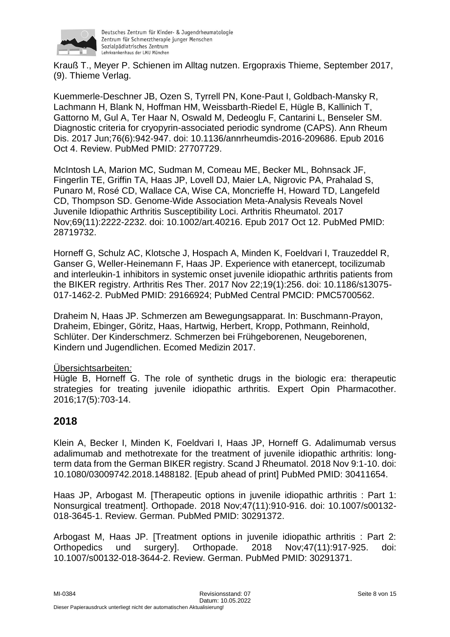

Krauß T., Meyer P. Schienen im Alltag nutzen. Ergopraxis Thieme, September 2017, (9). Thieme Verlag.

Kuemmerle-Deschner JB, Ozen S, Tyrrell PN, Kone-Paut I, Goldbach-Mansky R, Lachmann H, Blank N, Hoffman HM, Weissbarth-Riedel E, Hügle B, Kallinich T, Gattorno M, Gul A, Ter Haar N, Oswald M, Dedeoglu F, Cantarini L, Benseler SM. Diagnostic criteria for cryopyrin-associated periodic syndrome (CAPS). Ann Rheum Dis. 2017 Jun;76(6):942-947. doi: 10.1136/annrheumdis-2016-209686. Epub 2016 Oct 4. Review. PubMed PMID: 27707729.

McIntosh LA, Marion MC, Sudman M, Comeau ME, Becker ML, Bohnsack JF, Fingerlin TE, Griffin TA, Haas JP, Lovell DJ, Maier LA, Nigrovic PA, Prahalad S, Punaro M, Rosé CD, Wallace CA, Wise CA, Moncrieffe H, Howard TD, Langefeld CD, Thompson SD. Genome-Wide Association Meta-Analysis Reveals Novel Juvenile Idiopathic Arthritis Susceptibility Loci. Arthritis Rheumatol. 2017 Nov;69(11):2222-2232. doi: 10.1002/art.40216. Epub 2017 Oct 12. PubMed PMID: 28719732.

Horneff G, Schulz AC, Klotsche J, Hospach A, Minden K, Foeldvari I, Trauzeddel R, Ganser G, Weller-Heinemann F, Haas JP. Experience with etanercept, tocilizumab and interleukin-1 inhibitors in systemic onset juvenile idiopathic arthritis patients from the BIKER registry. Arthritis Res Ther. 2017 Nov 22;19(1):256. doi: 10.1186/s13075- 017-1462-2. PubMed PMID: 29166924; PubMed Central PMCID: PMC5700562.

Draheim N, Haas JP. Schmerzen am Bewegungsapparat. In: Buschmann-Prayon, Draheim, Ebinger, Göritz, Haas, Hartwig, Herbert, Kropp, Pothmann, Reinhold, Schlüter. Der Kinderschmerz. Schmerzen bei Frühgeborenen, Neugeborenen, Kindern und Jugendlichen. Ecomed Medizin 2017.

#### Übersichtsarbeiten*:*

Hügle B, Horneff G. The role of synthetic drugs in the biologic era: therapeutic strategies for treating juvenile idiopathic arthritis. Expert Opin Pharmacother. 2016;17(5):703-14.

#### **2018**

Klein A, Becker I, Minden K, Foeldvari I, Haas JP, Horneff G. Adalimumab versus adalimumab and methotrexate for the treatment of juvenile idiopathic arthritis: longterm data from the German BIKER registry. Scand J Rheumatol. 2018 Nov 9:1-10. doi: 10.1080/03009742.2018.1488182. [Epub ahead of print] PubMed PMID: 30411654.

Haas JP, Arbogast M. [Therapeutic options in juvenile idiopathic arthritis : Part 1: Nonsurgical treatment]. Orthopade. 2018 Nov;47(11):910-916. doi: 10.1007/s00132- 018-3645-1. Review. German. PubMed PMID: 30291372.

Arbogast M, Haas JP. [Treatment options in juvenile idiopathic arthritis : Part 2: Orthopedics und surgery]. Orthopade. 2018 Nov;47(11):917-925. doi: 10.1007/s00132-018-3644-2. Review. German. PubMed PMID: 30291371.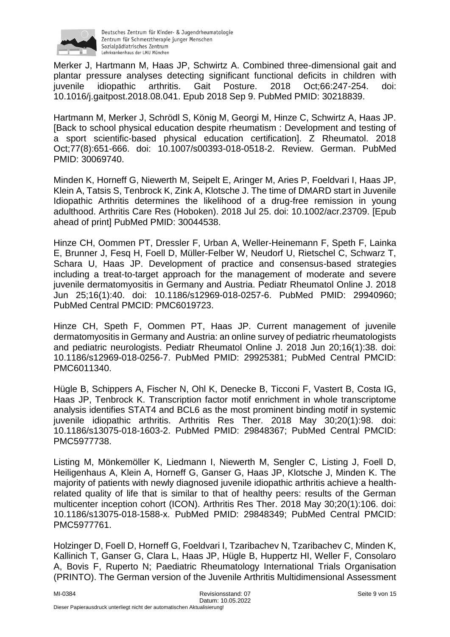

Merker J, Hartmann M, Haas JP, Schwirtz A. Combined three-dimensional gait and plantar pressure analyses detecting significant functional deficits in children with juvenile idiopathic arthritis. Gait Posture. 2018 Oct;66:247-254. doi: 10.1016/j.gaitpost.2018.08.041. Epub 2018 Sep 9. PubMed PMID: 30218839.

Hartmann M, Merker J, Schrödl S, König M, Georgi M, Hinze C, Schwirtz A, Haas JP. [Back to school physical education despite rheumatism : Development and testing of a sport scientific-based physical education certification]. Z Rheumatol. 2018 Oct;77(8):651-666. doi: 10.1007/s00393-018-0518-2. Review. German. PubMed PMID: 30069740.

Minden K, Horneff G, Niewerth M, Seipelt E, Aringer M, Aries P, Foeldvari I, Haas JP, Klein A, Tatsis S, Tenbrock K, Zink A, Klotsche J. The time of DMARD start in Juvenile Idiopathic Arthritis determines the likelihood of a drug-free remission in young adulthood. Arthritis Care Res (Hoboken). 2018 Jul 25. doi: 10.1002/acr.23709. [Epub ahead of print] PubMed PMID: 30044538.

Hinze CH, Oommen PT, Dressler F, Urban A, Weller-Heinemann F, Speth F, Lainka E, Brunner J, Fesq H, Foell D, Müller-Felber W, Neudorf U, Rietschel C, Schwarz T, Schara U, Haas JP. Development of practice and consensus-based strategies including a treat-to-target approach for the management of moderate and severe juvenile dermatomyositis in Germany and Austria. Pediatr Rheumatol Online J. 2018 Jun 25;16(1):40. doi: 10.1186/s12969-018-0257-6. PubMed PMID: 29940960; PubMed Central PMCID: PMC6019723.

Hinze CH, Speth F, Oommen PT, Haas JP. Current management of juvenile dermatomyositis in Germany and Austria: an online survey of pediatric rheumatologists and pediatric neurologists. Pediatr Rheumatol Online J. 2018 Jun 20;16(1):38. doi: 10.1186/s12969-018-0256-7. PubMed PMID: 29925381; PubMed Central PMCID: PMC6011340.

Hügle B, Schippers A, Fischer N, Ohl K, Denecke B, Ticconi F, Vastert B, Costa IG, Haas JP, Tenbrock K. Transcription factor motif enrichment in whole transcriptome analysis identifies STAT4 and BCL6 as the most prominent binding motif in systemic juvenile idiopathic arthritis. Arthritis Res Ther. 2018 May 30;20(1):98. doi: 10.1186/s13075-018-1603-2. PubMed PMID: 29848367; PubMed Central PMCID: PMC5977738.

Listing M, Mönkemöller K, Liedmann I, Niewerth M, Sengler C, Listing J, Foell D, Heiligenhaus A, Klein A, Horneff G, Ganser G, Haas JP, Klotsche J, Minden K. The majority of patients with newly diagnosed juvenile idiopathic arthritis achieve a healthrelated quality of life that is similar to that of healthy peers: results of the German multicenter inception cohort (ICON). Arthritis Res Ther. 2018 May 30;20(1):106. doi: 10.1186/s13075-018-1588-x. PubMed PMID: 29848349; PubMed Central PMCID: PMC5977761.

Holzinger D, Foell D, Horneff G, Foeldvari I, Tzaribachev N, Tzaribachev C, Minden K, Kallinich T, Ganser G, Clara L, Haas JP, Hügle B, Huppertz HI, Weller F, Consolaro A, Bovis F, Ruperto N; Paediatric Rheumatology International Trials Organisation (PRINTO). The German version of the Juvenile Arthritis Multidimensional Assessment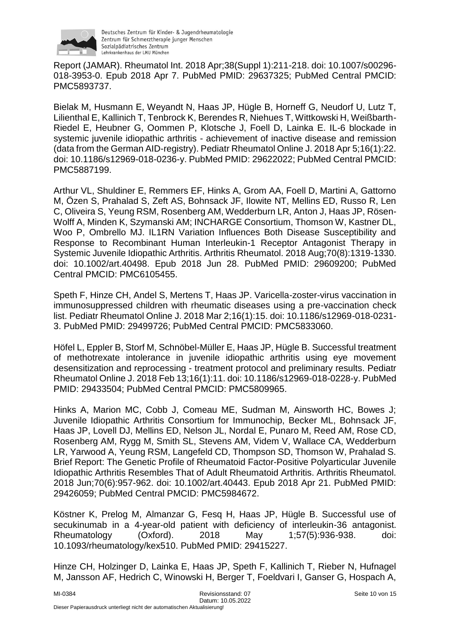

Report (JAMAR). Rheumatol Int. 2018 Apr;38(Suppl 1):211-218. doi: 10.1007/s00296- 018-3953-0. Epub 2018 Apr 7. PubMed PMID: 29637325; PubMed Central PMCID: PMC5893737.

Bielak M, Husmann E, Weyandt N, Haas JP, Hügle B, Horneff G, Neudorf U, Lutz T, Lilienthal E, Kallinich T, Tenbrock K, Berendes R, Niehues T, Wittkowski H, Weißbarth-Riedel E, Heubner G, Oommen P, Klotsche J, Foell D, Lainka E. IL-6 blockade in systemic juvenile idiopathic arthritis - achievement of inactive disease and remission (data from the German AID-registry). Pediatr Rheumatol Online J. 2018 Apr 5;16(1):22. doi: 10.1186/s12969-018-0236-y. PubMed PMID: 29622022; PubMed Central PMCID: PMC5887199.

Arthur VL, Shuldiner E, Remmers EF, Hinks A, Grom AA, Foell D, Martini A, Gattorno M, Özen S, Prahalad S, Zeft AS, Bohnsack JF, Ilowite NT, Mellins ED, Russo R, Len C, Oliveira S, Yeung RSM, Rosenberg AM, Wedderburn LR, Anton J, Haas JP, Rösen-Wolff A, Minden K, Szymanski AM; INCHARGE Consortium, Thomson W, Kastner DL, Woo P, Ombrello MJ. IL1RN Variation Influences Both Disease Susceptibility and Response to Recombinant Human Interleukin-1 Receptor Antagonist Therapy in Systemic Juvenile Idiopathic Arthritis. Arthritis Rheumatol. 2018 Aug;70(8):1319-1330. doi: 10.1002/art.40498. Epub 2018 Jun 28. PubMed PMID: 29609200; PubMed Central PMCID: PMC6105455.

Speth F, Hinze CH, Andel S, Mertens T, Haas JP. Varicella-zoster-virus vaccination in immunosuppressed children with rheumatic diseases using a pre-vaccination check list. Pediatr Rheumatol Online J. 2018 Mar 2;16(1):15. doi: 10.1186/s12969-018-0231- 3. PubMed PMID: 29499726; PubMed Central PMCID: PMC5833060.

Höfel L, Eppler B, Storf M, Schnöbel-Müller E, Haas JP, Hügle B. Successful treatment of methotrexate intolerance in juvenile idiopathic arthritis using eye movement desensitization and reprocessing - treatment protocol and preliminary results. Pediatr Rheumatol Online J. 2018 Feb 13;16(1):11. doi: 10.1186/s12969-018-0228-y. PubMed PMID: 29433504; PubMed Central PMCID: PMC5809965.

Hinks A, Marion MC, Cobb J, Comeau ME, Sudman M, Ainsworth HC, Bowes J; Juvenile Idiopathic Arthritis Consortium for Immunochip, Becker ML, Bohnsack JF, Haas JP, Lovell DJ, Mellins ED, Nelson JL, Nordal E, Punaro M, Reed AM, Rose CD, Rosenberg AM, Rygg M, Smith SL, Stevens AM, Videm V, Wallace CA, Wedderburn LR, Yarwood A, Yeung RSM, Langefeld CD, Thompson SD, Thomson W, Prahalad S. Brief Report: The Genetic Profile of Rheumatoid Factor-Positive Polyarticular Juvenile Idiopathic Arthritis Resembles That of Adult Rheumatoid Arthritis. Arthritis Rheumatol. 2018 Jun;70(6):957-962. doi: 10.1002/art.40443. Epub 2018 Apr 21. PubMed PMID: 29426059; PubMed Central PMCID: PMC5984672.

Köstner K, Prelog M, Almanzar G, Fesq H, Haas JP, Hügle B. Successful use of secukinumab in a 4-year-old patient with deficiency of interleukin-36 antagonist. Rheumatology (Oxford). 2018 May 1;57(5):936-938. doi: 10.1093/rheumatology/kex510. PubMed PMID: 29415227.

Hinze CH, Holzinger D, Lainka E, Haas JP, Speth F, Kallinich T, Rieber N, Hufnagel M, Jansson AF, Hedrich C, Winowski H, Berger T, Foeldvari I, Ganser G, Hospach A,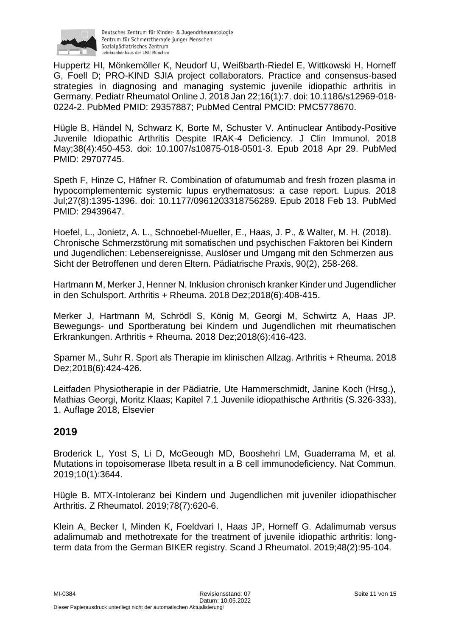

Huppertz HI, Mönkemöller K, Neudorf U, Weißbarth-Riedel E, Wittkowski H, Horneff G, Foell D; PRO-KIND SJIA project collaborators. Practice and consensus-based strategies in diagnosing and managing systemic juvenile idiopathic arthritis in Germany. Pediatr Rheumatol Online J. 2018 Jan 22;16(1):7. doi: 10.1186/s12969-018- 0224-2. PubMed PMID: 29357887; PubMed Central PMCID: PMC5778670.

Hügle B, Händel N, Schwarz K, Borte M, Schuster V. Antinuclear Antibody-Positive Juvenile Idiopathic Arthritis Despite IRAK-4 Deficiency. J Clin Immunol. 2018 May;38(4):450-453. doi: 10.1007/s10875-018-0501-3. Epub 2018 Apr 29. PubMed PMID: 29707745.

Speth F, Hinze C, Häfner R. Combination of ofatumumab and fresh frozen plasma in hypocomplementemic systemic lupus erythematosus: a case report. Lupus. 2018 Jul;27(8):1395-1396. doi: 10.1177/0961203318756289. Epub 2018 Feb 13. PubMed PMID: 29439647.

Hoefel, L., Jonietz, A. L., Schnoebel-Mueller, E., Haas, J. P., & Walter, M. H. (2018). Chronische Schmerzstörung mit somatischen und psychischen Faktoren bei Kindern und Jugendlichen: Lebensereignisse, Auslöser und Umgang mit den Schmerzen aus Sicht der Betroffenen und deren Eltern. Pädiatrische Praxis, 90(2), 258-268.

Hartmann M, Merker J, Henner N. Inklusion chronisch kranker Kinder und Jugendlicher in den Schulsport. Arthritis + Rheuma. 2018 Dez;2018(6):408-415.

Merker J, Hartmann M, Schrödl S, König M, Georgi M, Schwirtz A, Haas JP. Bewegungs- und Sportberatung bei Kindern und Jugendlichen mit rheumatischen Erkrankungen. Arthritis + Rheuma. 2018 Dez;2018(6):416-423.

Spamer M., Suhr R. Sport als Therapie im klinischen Allzag. Arthritis + Rheuma. 2018 Dez;2018(6):424-426.

Leitfaden Physiotherapie in der Pädiatrie, Ute Hammerschmidt, Janine Koch (Hrsg.), Mathias Georgi, Moritz Klaas; Kapitel 7.1 Juvenile idiopathische Arthritis (S.326-333), 1. Auflage 2018, Elsevier

### **2019**

Broderick L, Yost S, Li D, McGeough MD, Booshehri LM, Guaderrama M, et al. Mutations in topoisomerase IIbeta result in a B cell immunodeficiency. Nat Commun. 2019;10(1):3644.

Hügle B. MTX-Intoleranz bei Kindern und Jugendlichen mit juveniler idiopathischer Arthritis. Z Rheumatol. 2019;78(7):620-6.

Klein A, Becker I, Minden K, Foeldvari I, Haas JP, Horneff G. Adalimumab versus adalimumab and methotrexate for the treatment of juvenile idiopathic arthritis: longterm data from the German BIKER registry. Scand J Rheumatol. 2019;48(2):95-104.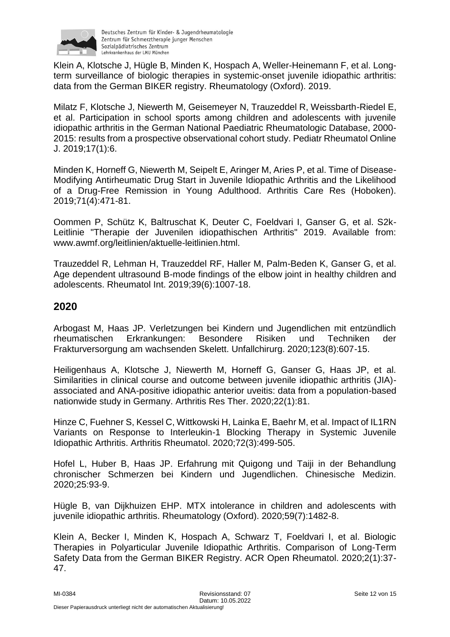

Klein A, Klotsche J, Hügle B, Minden K, Hospach A, Weller-Heinemann F, et al. Longterm surveillance of biologic therapies in systemic-onset juvenile idiopathic arthritis: data from the German BIKER registry. Rheumatology (Oxford). 2019.

Milatz F, Klotsche J, Niewerth M, Geisemeyer N, Trauzeddel R, Weissbarth-Riedel E, et al. Participation in school sports among children and adolescents with juvenile idiopathic arthritis in the German National Paediatric Rheumatologic Database, 2000- 2015: results from a prospective observational cohort study. Pediatr Rheumatol Online J. 2019;17(1):6.

Minden K, Horneff G, Niewerth M, Seipelt E, Aringer M, Aries P, et al. Time of Disease-Modifying Antirheumatic Drug Start in Juvenile Idiopathic Arthritis and the Likelihood of a Drug-Free Remission in Young Adulthood. Arthritis Care Res (Hoboken). 2019;71(4):471-81.

Oommen P, Schütz K, Baltruschat K, Deuter C, Foeldvari I, Ganser G, et al. S2k-Leitlinie "Therapie der Juvenilen idiopathischen Arthritis" 2019. Available from: www.awmf.org/leitlinien/aktuelle-leitlinien.html.

Trauzeddel R, Lehman H, Trauzeddel RF, Haller M, Palm-Beden K, Ganser G, et al. Age dependent ultrasound B-mode findings of the elbow joint in healthy children and adolescents. Rheumatol Int. 2019;39(6):1007-18.

### **2020**

Arbogast M, Haas JP. Verletzungen bei Kindern und Jugendlichen mit entzündlich rheumatischen Erkrankungen: Besondere Risiken und Techniken der Frakturversorgung am wachsenden Skelett. Unfallchirurg. 2020;123(8):607-15.

Heiligenhaus A, Klotsche J, Niewerth M, Horneff G, Ganser G, Haas JP, et al. Similarities in clinical course and outcome between juvenile idiopathic arthritis (JIA) associated and ANA-positive idiopathic anterior uveitis: data from a population-based nationwide study in Germany. Arthritis Res Ther. 2020;22(1):81.

Hinze C, Fuehner S, Kessel C, Wittkowski H, Lainka E, Baehr M, et al. Impact of IL1RN Variants on Response to Interleukin-1 Blocking Therapy in Systemic Juvenile Idiopathic Arthritis. Arthritis Rheumatol. 2020;72(3):499-505.

Hofel L, Huber B, Haas JP. Erfahrung mit Quigong und Taiji in der Behandlung chronischer Schmerzen bei Kindern und Jugendlichen. Chinesische Medizin. 2020;25:93-9.

Hügle B, van Dijkhuizen EHP. MTX intolerance in children and adolescents with juvenile idiopathic arthritis. Rheumatology (Oxford). 2020;59(7):1482-8.

Klein A, Becker I, Minden K, Hospach A, Schwarz T, Foeldvari I, et al. Biologic Therapies in Polyarticular Juvenile Idiopathic Arthritis. Comparison of Long-Term Safety Data from the German BIKER Registry. ACR Open Rheumatol. 2020;2(1):37- 47.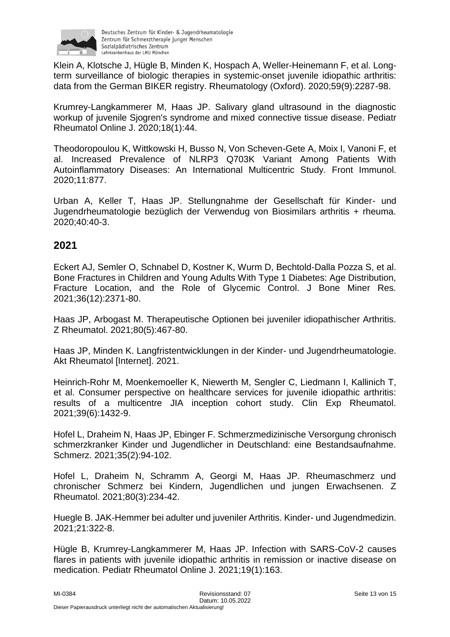

Klein A, Klotsche J, Hügle B, Minden K, Hospach A, Weller-Heinemann F, et al. Longterm surveillance of biologic therapies in systemic-onset juvenile idiopathic arthritis: data from the German BIKER registry. Rheumatology (Oxford). 2020;59(9):2287-98.

Krumrey-Langkammerer M, Haas JP. Salivary gland ultrasound in the diagnostic workup of juvenile Sjogren's syndrome and mixed connective tissue disease. Pediatr Rheumatol Online J. 2020;18(1):44.

Theodoropoulou K, Wittkowski H, Busso N, Von Scheven-Gete A, Moix I, Vanoni F, et al. Increased Prevalence of NLRP3 Q703K Variant Among Patients With Autoinflammatory Diseases: An International Multicentric Study. Front Immunol. 2020;11:877.

Urban A, Keller T, Haas JP. Stellungnahme der Gesellschaft für Kinder- und Jugendrheumatologie bezüglich der Verwendug von Biosimilars arthritis + rheuma. 2020;40:40-3.

### **2021**

Eckert AJ, Semler O, Schnabel D, Kostner K, Wurm D, Bechtold-Dalla Pozza S, et al. Bone Fractures in Children and Young Adults With Type 1 Diabetes: Age Distribution, Fracture Location, and the Role of Glycemic Control. J Bone Miner Res. 2021;36(12):2371-80.

Haas JP, Arbogast M. Therapeutische Optionen bei juveniler idiopathischer Arthritis. Z Rheumatol. 2021;80(5):467-80.

Haas JP, Minden K. Langfristentwicklungen in der Kinder- und Jugendrheumatologie. Akt Rheumatol [Internet]. 2021.

Heinrich-Rohr M, Moenkemoeller K, Niewerth M, Sengler C, Liedmann I, Kallinich T, et al. Consumer perspective on healthcare services for juvenile idiopathic arthritis: results of a multicentre JIA inception cohort study. Clin Exp Rheumatol. 2021;39(6):1432-9.

Hofel L, Draheim N, Haas JP, Ebinger F. Schmerzmedizinische Versorgung chronisch schmerzkranker Kinder und Jugendlicher in Deutschland: eine Bestandsaufnahme. Schmerz. 2021;35(2):94-102.

Hofel L, Draheim N, Schramm A, Georgi M, Haas JP. Rheumaschmerz und chronischer Schmerz bei Kindern, Jugendlichen und jungen Erwachsenen. Z Rheumatol. 2021;80(3):234-42.

Huegle B. JAK-Hemmer bei adulter und juveniler Arthritis. Kinder- und Jugendmedizin. 2021;21:322-8.

Hügle B, Krumrey-Langkammerer M, Haas JP. Infection with SARS-CoV-2 causes flares in patients with juvenile idiopathic arthritis in remission or inactive disease on medication. Pediatr Rheumatol Online J. 2021;19(1):163.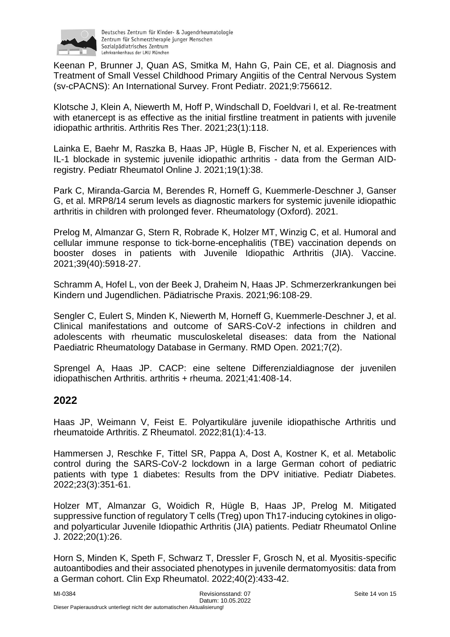

Keenan P, Brunner J, Quan AS, Smitka M, Hahn G, Pain CE, et al. Diagnosis and Treatment of Small Vessel Childhood Primary Angiitis of the Central Nervous System (sv-cPACNS): An International Survey. Front Pediatr. 2021;9:756612.

Klotsche J, Klein A, Niewerth M, Hoff P, Windschall D, Foeldvari I, et al. Re-treatment with etanercept is as effective as the initial firstline treatment in patients with juvenile idiopathic arthritis. Arthritis Res Ther. 2021;23(1):118.

Lainka E, Baehr M, Raszka B, Haas JP, Hügle B, Fischer N, et al. Experiences with IL-1 blockade in systemic juvenile idiopathic arthritis - data from the German AIDregistry. Pediatr Rheumatol Online J. 2021;19(1):38.

Park C, Miranda-Garcia M, Berendes R, Horneff G, Kuemmerle-Deschner J, Ganser G, et al. MRP8/14 serum levels as diagnostic markers for systemic juvenile idiopathic arthritis in children with prolonged fever. Rheumatology (Oxford). 2021.

Prelog M, Almanzar G, Stern R, Robrade K, Holzer MT, Winzig C, et al. Humoral and cellular immune response to tick-borne-encephalitis (TBE) vaccination depends on booster doses in patients with Juvenile Idiopathic Arthritis (JIA). Vaccine. 2021;39(40):5918-27.

Schramm A, Hofel L, von der Beek J, Draheim N, Haas JP. Schmerzerkrankungen bei Kindern und Jugendlichen. Pädiatrische Praxis. 2021;96:108-29.

Sengler C, Eulert S, Minden K, Niewerth M, Horneff G, Kuemmerle-Deschner J, et al. Clinical manifestations and outcome of SARS-CoV-2 infections in children and adolescents with rheumatic musculoskeletal diseases: data from the National Paediatric Rheumatology Database in Germany. RMD Open. 2021;7(2).

Sprengel A, Haas JP. CACP: eine seltene Differenzialdiagnose der juvenilen idiopathischen Arthritis. arthritis + rheuma. 2021;41:408-14.

### **2022**

Haas JP, Weimann V, Feist E. Polyartikuläre juvenile idiopathische Arthritis und rheumatoide Arthritis. Z Rheumatol. 2022;81(1):4-13.

Hammersen J, Reschke F, Tittel SR, Pappa A, Dost A, Kostner K, et al. Metabolic control during the SARS-CoV-2 lockdown in a large German cohort of pediatric patients with type 1 diabetes: Results from the DPV initiative. Pediatr Diabetes. 2022;23(3):351-61.

Holzer MT, Almanzar G, Woidich R, Hügle B, Haas JP, Prelog M. Mitigated suppressive function of regulatory T cells (Treg) upon Th17-inducing cytokines in oligoand polyarticular Juvenile Idiopathic Arthritis (JIA) patients. Pediatr Rheumatol Online J. 2022;20(1):26.

Horn S, Minden K, Speth F, Schwarz T, Dressler F, Grosch N, et al. Myositis-specific autoantibodies and their associated phenotypes in juvenile dermatomyositis: data from a German cohort. Clin Exp Rheumatol. 2022;40(2):433-42.